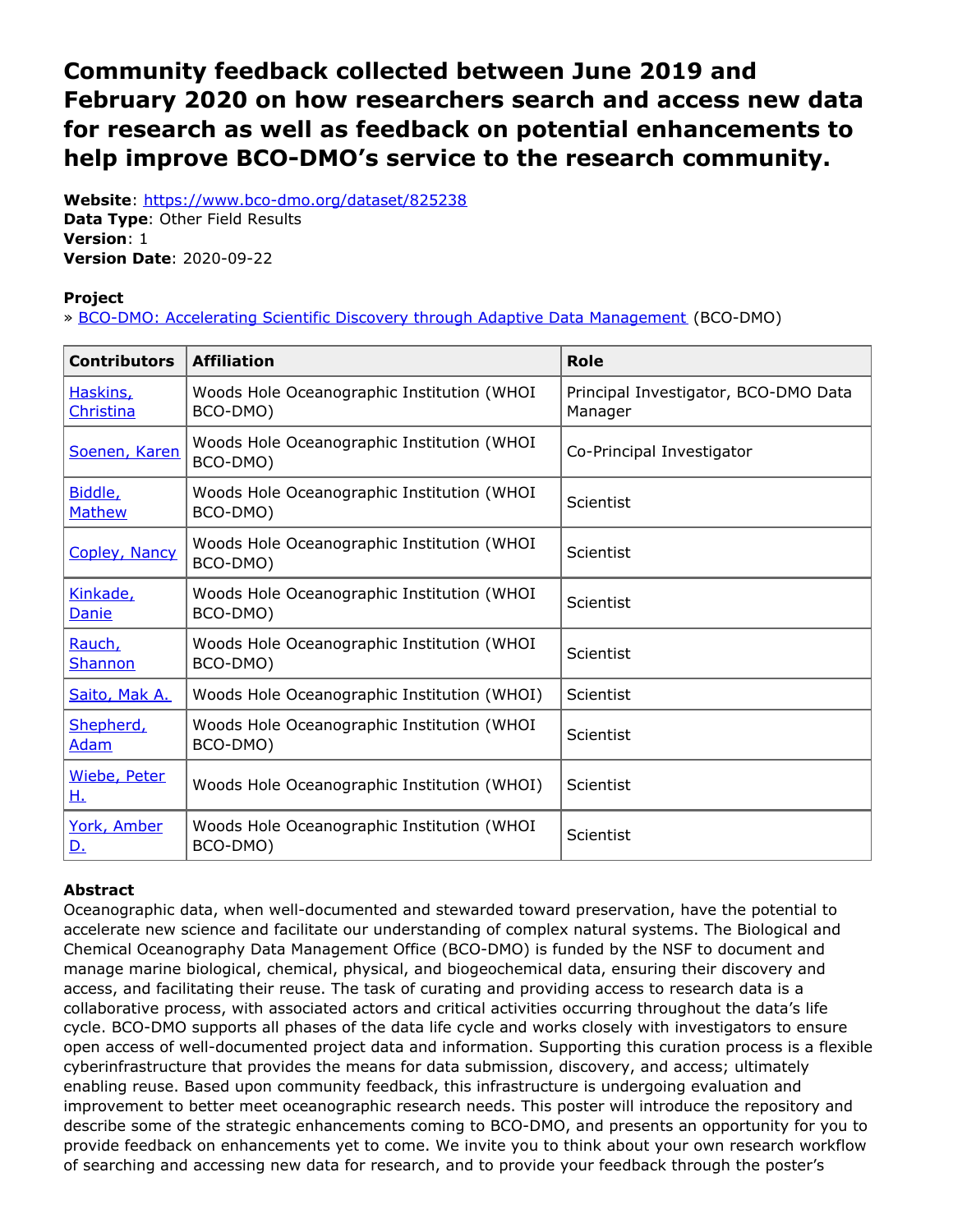# <span id="page-0-0"></span>**Community feedback collected between June 2019 and February 2020 on how researchers search and access new data for research as well as feedback on potential enhancements to help improve BCO-DMO's service to the research community.**

**Website**: <https://www.bco-dmo.org/dataset/825238> **Data Type**: Other Field Results **Version**: 1 **Version Date**: 2020-09-22

### **Project**

» BCO-DMO: Accelerating Scientific Discovery through Adaptive Data [Management](https://www.bco-dmo.org/project/824782) (BCO-DMO)

| <b>Contributors</b>       | <b>Affiliation</b>                                     | <b>Role</b>                                     |
|---------------------------|--------------------------------------------------------|-------------------------------------------------|
| Haskins,<br>Christina     | Woods Hole Oceanographic Institution (WHOI<br>BCO-DMO) | Principal Investigator, BCO-DMO Data<br>Manager |
| Soenen, Karen             | Woods Hole Oceanographic Institution (WHOI<br>BCO-DMO) | Co-Principal Investigator                       |
| Biddle,<br><b>Mathew</b>  | Woods Hole Oceanographic Institution (WHOI<br>BCO-DMO) | Scientist                                       |
| Copley, Nancy             | Woods Hole Oceanographic Institution (WHOI<br>BCO-DMO) | Scientist                                       |
| Kinkade,<br>Danie         | Woods Hole Oceanographic Institution (WHOI<br>BCO-DMO) | Scientist                                       |
| Rauch,<br><b>Shannon</b>  | Woods Hole Oceanographic Institution (WHOI<br>BCO-DMO) | Scientist                                       |
| Saito, Mak A.             | Woods Hole Oceanographic Institution (WHOI)            | Scientist                                       |
| Shepherd,<br><b>Adam</b>  | Woods Hole Oceanographic Institution (WHOI<br>BCO-DMO) | Scientist                                       |
| Wiebe, Peter<br><u>н.</u> | Woods Hole Oceanographic Institution (WHOI)            | Scientist                                       |
| York, Amber<br><u>D.</u>  | Woods Hole Oceanographic Institution (WHOI<br>BCO-DMO) | Scientist                                       |

## **Abstract**

Oceanographic data, when well-documented and stewarded toward preservation, have the potential to accelerate new science and facilitate our understanding of complex natural systems. The Biological and Chemical Oceanography Data Management Office (BCO-DMO) is funded by the NSF to document and manage marine biological, chemical, physical, and biogeochemical data, ensuring their discovery and access, and facilitating their reuse. The task of curating and providing access to research data is a collaborative process, with associated actors and critical activities occurring throughout the data's life cycle. BCO-DMO supports all phases of the data life cycle and works closely with investigators to ensure open access of well-documented project data and information. Supporting this curation process is a flexible cyberinfrastructure that provides the means for data submission, discovery, and access; ultimately enabling reuse. Based upon community feedback, this infrastructure is undergoing evaluation and improvement to better meet oceanographic research needs. This poster will introduce the repository and describe some of the strategic enhancements coming to BCO-DMO, and presents an opportunity for you to provide feedback on enhancements yet to come. We invite you to think about your own research workflow of searching and accessing new data for research, and to provide your feedback through the poster's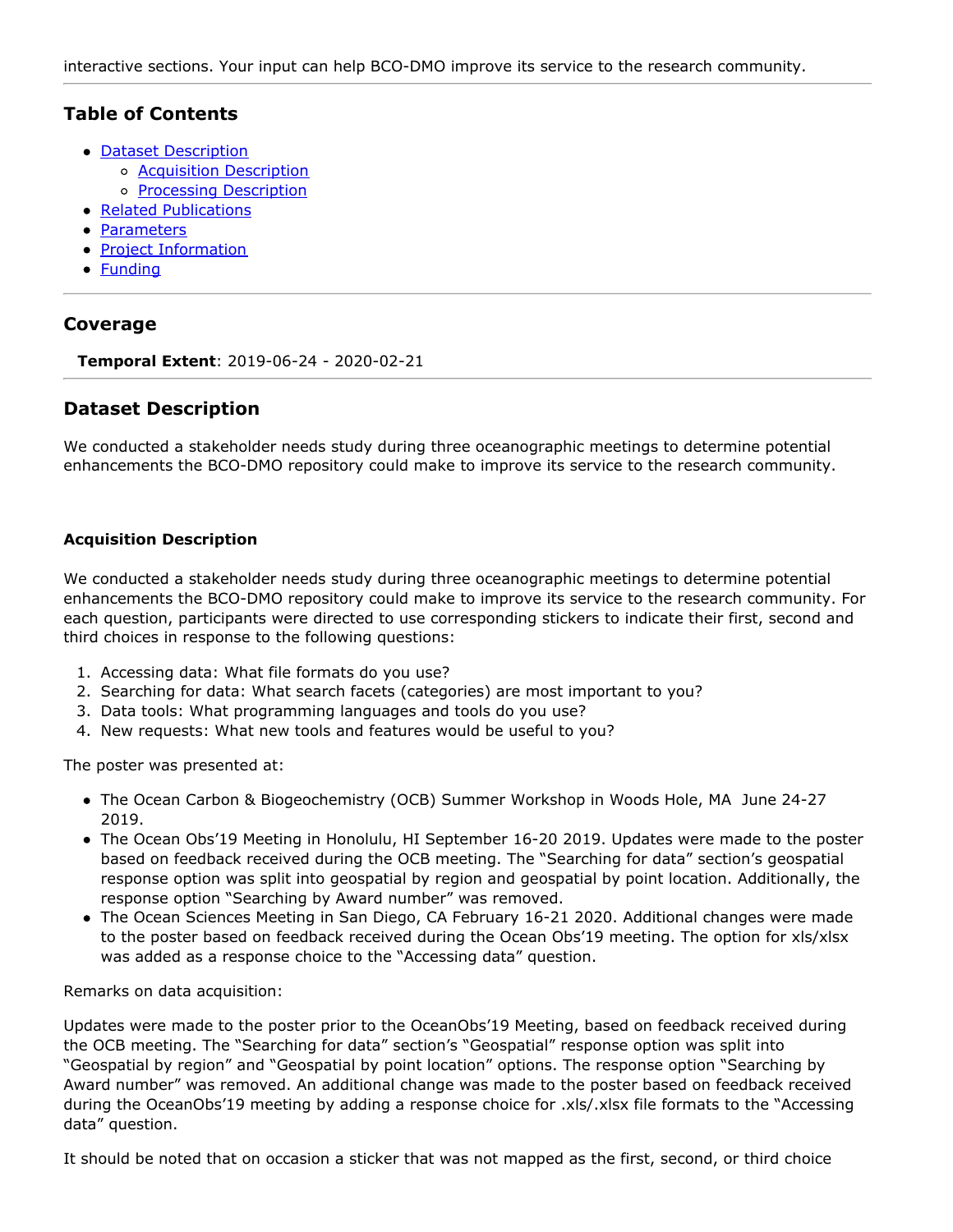# **Table of Contents**

- Dataset [Description](#page-0-0)
	- o **Acquisition [Description](#page-0-0)**
	- o **Processing [Description](#page-0-0)**
- Related [Publications](#page-0-0)
- [Parameters](#page-0-0)
- **Project [Information](#page-0-0)**
- [Funding](#page-0-0)

# **Coverage**

**Temporal Extent**: 2019-06-24 - 2020-02-21

## **Dataset Description**

We conducted a stakeholder needs study during three oceanographic meetings to determine potential enhancements the BCO-DMO repository could make to improve its service to the research community.

#### **Acquisition Description**

We conducted a stakeholder needs study during three oceanographic meetings to determine potential enhancements the BCO-DMO repository could make to improve its service to the research community. For each question, participants were directed to use corresponding stickers to indicate their first, second and third choices in response to the following questions:

- 1. Accessing data: What file formats do you use?
- 2. Searching for data: What search facets (categories) are most important to you?
- 3. Data tools: What programming languages and tools do you use?
- 4. New requests: What new tools and features would be useful to you?

The poster was presented at:

- The Ocean Carbon & Biogeochemistry (OCB) Summer Workshop in Woods Hole, MA June 24-27 2019.
- The Ocean Obs'19 Meeting in Honolulu, HI September 16-20 2019. Updates were made to the poster based on feedback received during the OCB meeting. The "Searching for data" section's geospatial response option was split into geospatial by region and geospatial by point location. Additionally, the response option "Searching by Award number" was removed.
- The Ocean Sciences Meeting in San Diego, CA February 16-21 2020. Additional changes were made to the poster based on feedback received during the Ocean Obs'19 meeting. The option for xls/xlsx was added as a response choice to the "Accessing data" question.

Remarks on data acquisition:

Updates were made to the poster prior to the OceanObs'19 Meeting, based on feedback received during the OCB meeting. The "Searching for data" section's "Geospatial" response option was split into "Geospatial by region" and "Geospatial by point location" options. The response option "Searching by Award number" was removed. An additional change was made to the poster based on feedback received during the OceanObs'19 meeting by adding a response choice for .xls/.xlsx file formats to the "Accessing data" question.

It should be noted that on occasion a sticker that was not mapped as the first, second, or third choice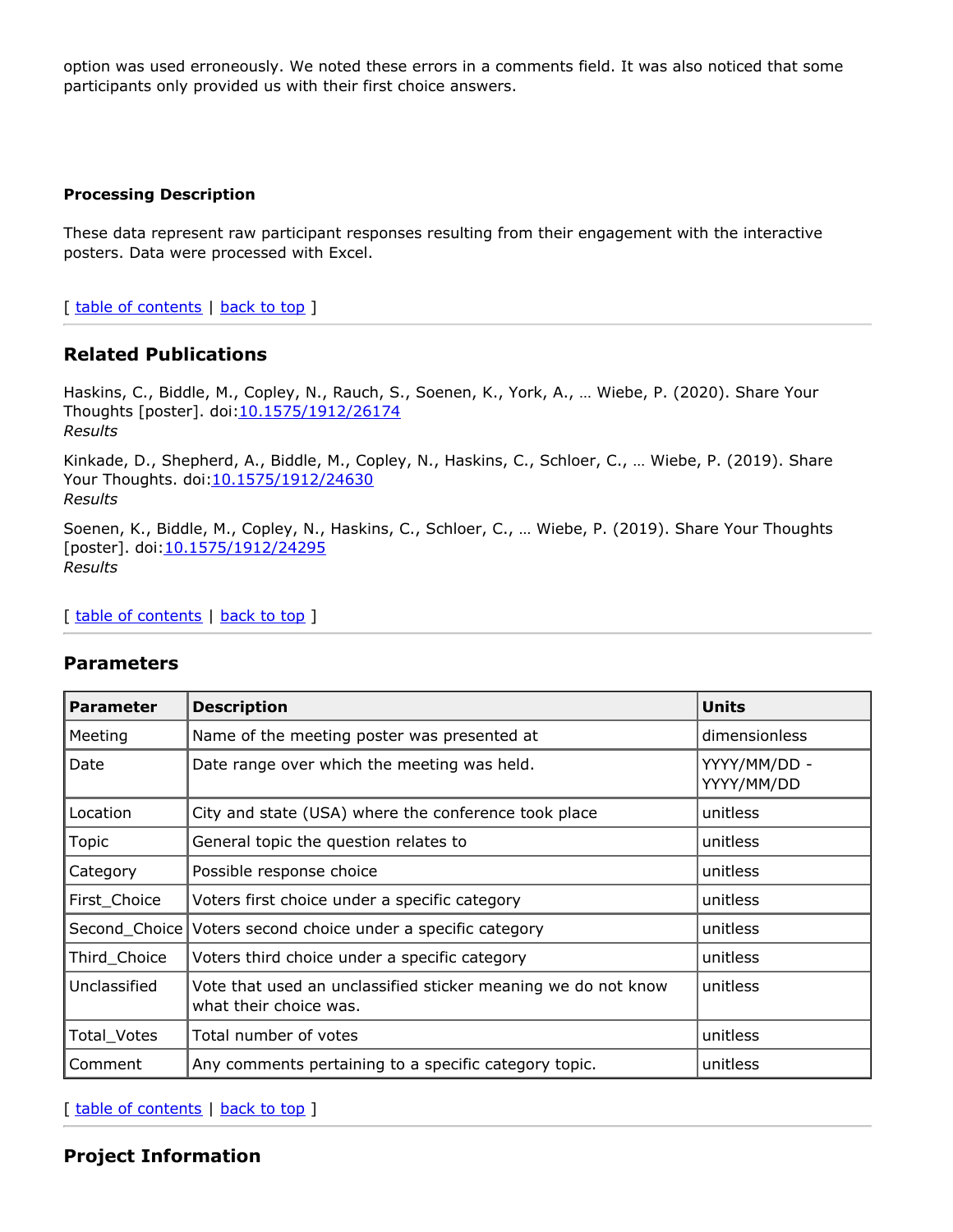option was used erroneously. We noted these errors in a comments field. It was also noticed that some participants only provided us with their first choice answers.

#### **Processing Description**

These data represent raw participant responses resulting from their engagement with the interactive posters. Data were processed with Excel.

[ table of [contents](#page-0-0) | [back](#page-0-0) to top ]

## **Related Publications**

Haskins, C., Biddle, M., Copley, N., Rauch, S., Soenen, K., York, A., … Wiebe, P. (2020). Share Your Thoughts [poster]. doi[:10.1575/1912/26174](https://doi.org/10.1575/1912/26174) *Results*

Kinkade, D., Shepherd, A., Biddle, M., Copley, N., Haskins, C., Schloer, C., … Wiebe, P. (2019). Share Your Thoughts. doi: 10.1575/1912/24630 *Results*

Soenen, K., Biddle, M., Copley, N., Haskins, C., Schloer, C., … Wiebe, P. (2019). Share Your Thoughts [poster]. doi: 10.1575/1912/24295 *Results*

[ table of [contents](#page-0-0) | [back](#page-0-0) to top ]

#### **Parameters**

| <b>Parameter</b> | <b>Description</b>                                                                      | <b>Units</b>               |
|------------------|-----------------------------------------------------------------------------------------|----------------------------|
| Meeting          | Name of the meeting poster was presented at                                             | dimensionless              |
| Date             | Date range over which the meeting was held.                                             | YYYY/MM/DD -<br>YYYY/MM/DD |
| Location         | City and state (USA) where the conference took place                                    | unitless                   |
| Topic            | General topic the question relates to                                                   | unitless                   |
| Category         | Possible response choice                                                                | unitless                   |
| First_Choice     | Voters first choice under a specific category                                           | unitless                   |
| Second_Choice    | Voters second choice under a specific category                                          | unitless                   |
| Third_Choice     | Voters third choice under a specific category                                           | unitless                   |
| Unclassified     | Vote that used an unclassified sticker meaning we do not know<br>what their choice was. | unitless                   |
| Total_Votes      | Total number of votes                                                                   | unitless                   |
| Comment          | Any comments pertaining to a specific category topic.                                   | unitless                   |

[ table of [contents](#page-0-0) | [back](#page-0-0) to top ]

## **Project Information**